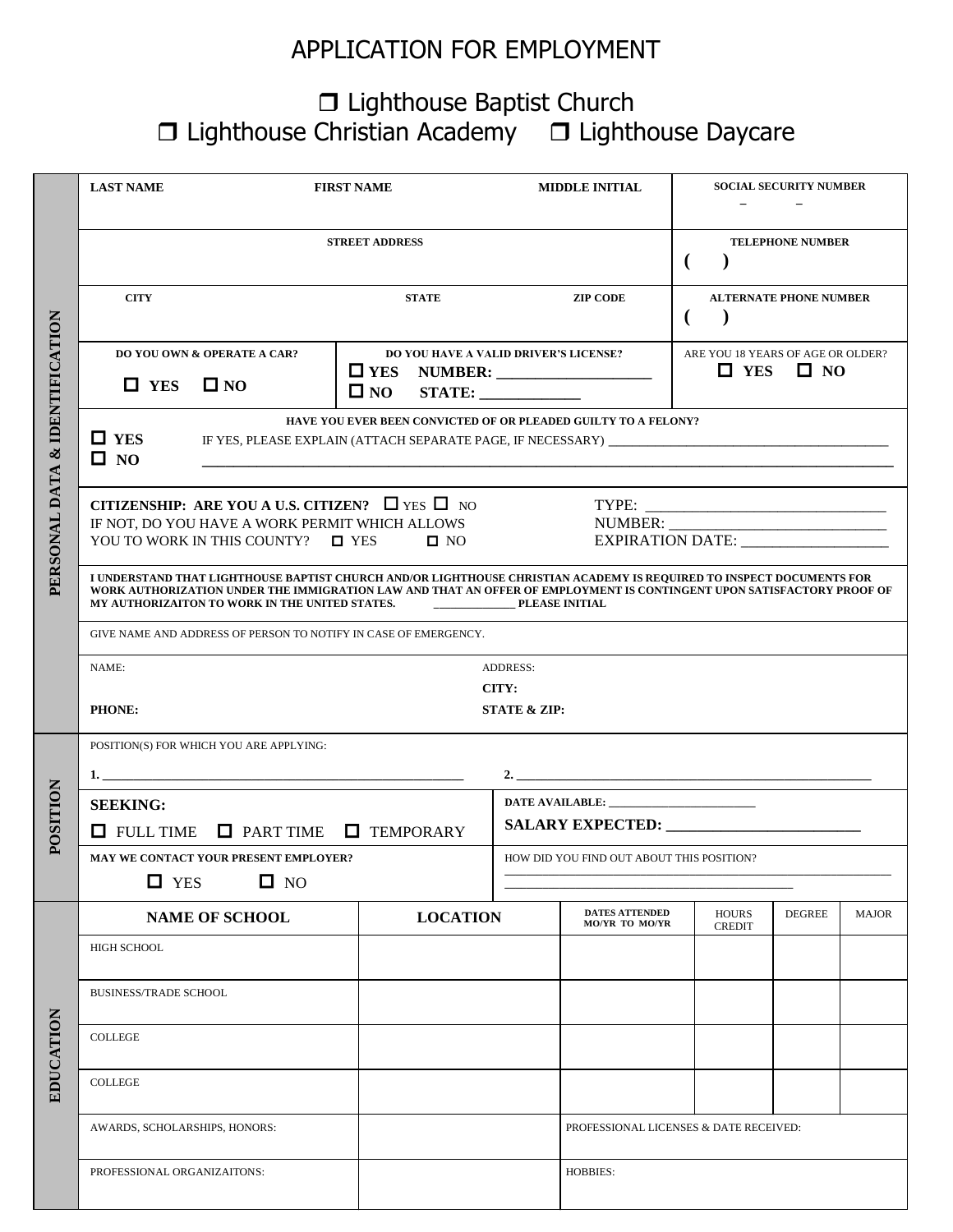## APPLICATION FOR EMPLOYMENT

## □ Lighthouse Baptist Church  $\Box$  Lighthouse Christian Academy  $\Box$  Lighthouse Daycare

|                  | <b>LAST NAME</b>                                                                                                                                                                                                                                                                                                         | <b>FIRST NAME</b>                                  |                                                                                                                              |                                           | <b>SOCIAL SECURITY NUMBER</b><br><b>MIDDLE INITIAL</b> |                                                                 |               |              |  |  |  |  |
|------------------|--------------------------------------------------------------------------------------------------------------------------------------------------------------------------------------------------------------------------------------------------------------------------------------------------------------------------|----------------------------------------------------|------------------------------------------------------------------------------------------------------------------------------|-------------------------------------------|--------------------------------------------------------|-----------------------------------------------------------------|---------------|--------------|--|--|--|--|
|                  |                                                                                                                                                                                                                                                                                                                          | <b>STREET ADDRESS</b>                              | <b>TELEPHONE NUMBER</b><br>(                                                                                                 |                                           |                                                        |                                                                 |               |              |  |  |  |  |
|                  | <b>CITY</b>                                                                                                                                                                                                                                                                                                              |                                                    | <b>STATE</b>                                                                                                                 | <b>ZIP CODE</b>                           |                                                        | <b>ALTERNATE PHONE NUMBER</b>                                   |               |              |  |  |  |  |
| & IDENTIFICATION | <b>DO YOU OWN &amp; OPERATE A CAR?</b><br>$\Box$ YES<br>$\square$ NO                                                                                                                                                                                                                                                     |                                                    | <b>DO YOU HAVE A VALID DRIVER'S LICENSE?</b><br>$\Box$ YES<br><b>NUMBER:</b> _____________________<br>$\square$ NO<br>STATE: |                                           |                                                        | ARE YOU 18 YEARS OF AGE OR OLDER?<br>$\Box$ YES<br>$\square$ NO |               |              |  |  |  |  |
|                  | HAVE YOU EVER BEEN CONVICTED OF OR PLEADED GUILTY TO A FELONY?<br>$\Box$ YES<br>IF YES, PLEASE EXPLAIN (ATTACH SEPARATE PAGE, IF NECESSARY) [1989] THE YES, PLEASE EXPLAIN (ATTACH SEPARATE PAGE, IF NECESSARY)<br>$\square$ NO                                                                                          |                                                    |                                                                                                                              |                                           |                                                        |                                                                 |               |              |  |  |  |  |
| PERSONAL DATA    | CITIZENSHIP: ARE YOU A U.S. CITIZEN? $\Box$ YES $\Box$ NO<br>IF NOT, DO YOU HAVE A WORK PERMIT WHICH ALLOWS<br>YOU TO WORK IN THIS COUNTY? $\Box$ YES $\Box$ NO                                                                                                                                                          |                                                    |                                                                                                                              |                                           | EXPIRATION DATE: ___________________                   |                                                                 |               |              |  |  |  |  |
|                  | I UNDERSTAND THAT LIGHTHOUSE BAPTIST CHURCH AND/OR LIGHTHOUSE CHRISTIAN ACADEMY IS REQUIRED TO INSPECT DOCUMENTS FOR<br>WORK AUTHORIZATION UNDER THE IMMIGRATION LAW AND THAT AN OFFER OF EMPLOYMENT IS CONTINGENT UPON SATISFACTORY PROOF OF<br>MY AUTHORIZAITON TO WORK IN THE UNITED STATES.<br><b>PLEASE INITIAL</b> |                                                    |                                                                                                                              |                                           |                                                        |                                                                 |               |              |  |  |  |  |
|                  | GIVE NAME AND ADDRESS OF PERSON TO NOTIFY IN CASE OF EMERGENCY.                                                                                                                                                                                                                                                          |                                                    |                                                                                                                              |                                           |                                                        |                                                                 |               |              |  |  |  |  |
|                  | <b>ADDRESS:</b><br>NAME:                                                                                                                                                                                                                                                                                                 |                                                    |                                                                                                                              |                                           |                                                        |                                                                 |               |              |  |  |  |  |
|                  | CITY:<br>PHONE:<br><b>STATE &amp; ZIP:</b>                                                                                                                                                                                                                                                                               |                                                    |                                                                                                                              |                                           |                                                        |                                                                 |               |              |  |  |  |  |
|                  | POSITION(S) FOR WHICH YOU ARE APPLYING:                                                                                                                                                                                                                                                                                  |                                                    |                                                                                                                              |                                           |                                                        |                                                                 |               |              |  |  |  |  |
| <b>POSITION</b>  | <b>SEEKING:</b>                                                                                                                                                                                                                                                                                                          |                                                    |                                                                                                                              |                                           |                                                        |                                                                 |               |              |  |  |  |  |
|                  |                                                                                                                                                                                                                                                                                                                          | $\Box$ FULL TIME $\Box$ PART TIME $\Box$ TEMPORARY |                                                                                                                              |                                           |                                                        |                                                                 |               |              |  |  |  |  |
|                  | $\Box$ YES                                                                                                                                                                                                                                                                                                               | MAY WE CONTACT YOUR PRESENT EMPLOYER?<br>$\Box$ NO |                                                                                                                              | HOW DID YOU FIND OUT ABOUT THIS POSITION? |                                                        |                                                                 |               |              |  |  |  |  |
|                  |                                                                                                                                                                                                                                                                                                                          | <b>NAME OF SCHOOL</b>                              | <b>LOCATION</b>                                                                                                              |                                           | <b>DATES ATTENDED</b><br><b>MO/YR TO MO/YR</b>         | <b>HOURS</b><br><b>CREDIT</b>                                   | <b>DEGREE</b> | <b>MAJOR</b> |  |  |  |  |
|                  | <b>HIGH SCHOOL</b>                                                                                                                                                                                                                                                                                                       |                                                    |                                                                                                                              |                                           |                                                        |                                                                 |               |              |  |  |  |  |
|                  | <b>BUSINESS/TRADE SCHOOL</b>                                                                                                                                                                                                                                                                                             |                                                    |                                                                                                                              |                                           |                                                        |                                                                 |               |              |  |  |  |  |
| EDUCATION        | <b>COLLEGE</b>                                                                                                                                                                                                                                                                                                           |                                                    |                                                                                                                              |                                           |                                                        |                                                                 |               |              |  |  |  |  |
|                  | <b>COLLEGE</b>                                                                                                                                                                                                                                                                                                           |                                                    |                                                                                                                              |                                           |                                                        |                                                                 |               |              |  |  |  |  |
|                  | AWARDS, SCHOLARSHIPS, HONORS:                                                                                                                                                                                                                                                                                            |                                                    |                                                                                                                              | PROFESSIONAL LICENSES & DATE RECEIVED:    |                                                        |                                                                 |               |              |  |  |  |  |
|                  | PROFESSIONAL ORGANIZAITONS:                                                                                                                                                                                                                                                                                              |                                                    |                                                                                                                              | <b>HOBBIES:</b>                           |                                                        |                                                                 |               |              |  |  |  |  |